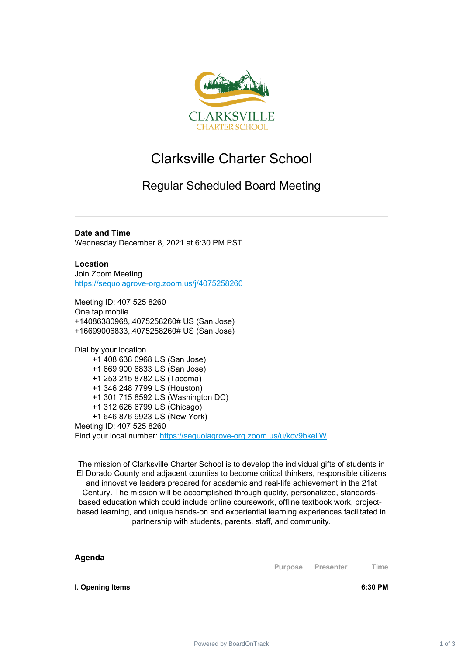

## Clarksville Charter School

## Regular Scheduled Board Meeting

**Date and Time** Wednesday December 8, 2021 at 6:30 PM PST

**Location** Join Zoom Meeting [https://sequoiagrove-org.zoom.us/j/4075258260](https://www.google.com/url?q=https://sequoiagrove-org.zoom.us/j/4075258260&sa=D&source=calendar&ust=1635092054101858&usg=AOvVaw2R7TmmfkcxJMzI_X4ALB1C)

Meeting ID: 407 525 8260 One tap mobile +14086380968,,4075258260# US (San Jose) +16699006833,,4075258260# US (San Jose)

Dial by your location +1 408 638 0968 US (San Jose) +1 669 900 6833 US (San Jose) +1 253 215 8782 US (Tacoma) +1 346 248 7799 US (Houston) +1 301 715 8592 US (Washington DC) +1 312 626 6799 US (Chicago) +1 646 876 9923 US (New York) Meeting ID: 407 525 8260 Find your local number: [https://sequoiagrove-org.zoom.us/u/kcv9bkellW](https://www.google.com/url?q=https://sequoiagrove-org.zoom.us/u/kcv9bkellW&sa=D&source=calendar&ust=1635092054101858&usg=AOvVaw3NirWxO5fYt1EagoKLbI_V)

The mission of Clarksville Charter School is to develop the individual gifts of students in El Dorado County and adjacent counties to become critical thinkers, responsible citizens and innovative leaders prepared for academic and real-life achievement in the 21st Century. The mission will be accomplished through quality, personalized, standardsbased education which could include online coursework, offline textbook work, projectbased learning, and unique hands‐on and experiential learning experiences facilitated in partnership with students, parents, staff, and community.

**Agenda**

**Purpose Presenter Time**

**I. Opening Items 6:30 PM**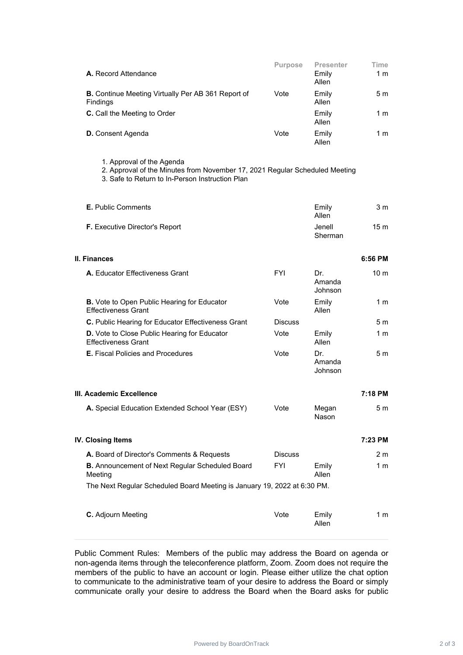| A. Record Attendance                                                         | <b>Purpose</b> | <b>Presenter</b><br>Emily<br>Allen | Time<br>1 m |
|------------------------------------------------------------------------------|----------------|------------------------------------|-------------|
| <b>B.</b> Continue Meeting Virtually Per AB 361 Report of<br><b>Findings</b> | Vote           | Emily<br>Allen                     | 5m          |
| <b>C.</b> Call the Meeting to Order                                          |                | Emily<br>Allen                     | 1 m         |
| <b>D.</b> Consent Agenda                                                     | Vote           | Emily<br>Allen                     | 1 m         |

1. Approval of the Agenda

2. Approval of the Minutes from November 17, 2021 Regular Scheduled Meeting

3. Safe to Return to In-Person Instruction Plan

| <b>E.</b> Public Comments             | Emily<br>Allen    | 3 m |
|---------------------------------------|-------------------|-----|
| <b>F.</b> Executive Director's Report | Jenell<br>Sherman | 15m |

| II. Finances                                                                      |                |                          | 6:56 PM         |
|-----------------------------------------------------------------------------------|----------------|--------------------------|-----------------|
| A. Educator Effectiveness Grant                                                   | <b>FYI</b>     | Dr.<br>Amanda<br>Johnson | 10 <sub>m</sub> |
| <b>B.</b> Vote to Open Public Hearing for Educator<br><b>Effectiveness Grant</b>  | Vote           | Emily<br>Allen           | 1 m             |
| C. Public Hearing for Educator Effectiveness Grant                                | <b>Discuss</b> |                          | 5m              |
| <b>D.</b> Vote to Close Public Hearing for Educator<br><b>Effectiveness Grant</b> | Vote           | Emily<br>Allen           | 1 <sub>m</sub>  |
| <b>E.</b> Fiscal Policies and Procedures                                          | Vote           | Dr.<br>Amanda<br>Johnson | 5 <sub>m</sub>  |

| III. Academic Excellence                        |      |                | 7:18 PM |
|-------------------------------------------------|------|----------------|---------|
| A. Special Education Extended School Year (ESY) | Vote | Megan<br>Nason | 5 m     |

| IV. Closing Items                                                        |                |                | 7:23 PM |
|--------------------------------------------------------------------------|----------------|----------------|---------|
| <b>A.</b> Board of Director's Comments & Requests                        | <b>Discuss</b> |                | 2 m     |
| <b>B.</b> Announcement of Next Regular Scheduled Board<br>Meeting        | FYI            | Emily<br>Allen | 1 m     |
| The Next Regular Scheduled Board Meeting is January 19, 2022 at 6:30 PM. |                |                |         |
| <b>C.</b> Adjourn Meeting                                                | Vote           | Emily<br>Allen | 1 m     |

Public Comment Rules: Members of the public may address the Board on agenda or non-agenda items through the teleconference platform, Zoom. Zoom does not require the members of the public to have an account or login. Please either utilize the chat option to communicate to the administrative team of your desire to address the Board or simply communicate orally your desire to address the Board when the Board asks for public